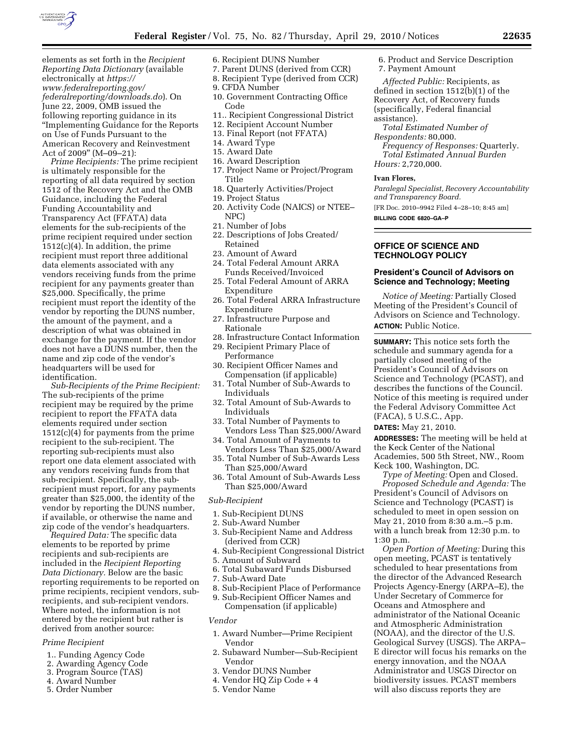

elements as set forth in the *Recipient Reporting Data Dictionary* (available electronically at *https:// www.federalreporting.gov/ federalreporting/downloads.do*). On June 22, 2009, OMB issued the following reporting guidance in its ''Implementing Guidance for the Reports on Use of Funds Pursuant to the American Recovery and Reinvestment Act of 2009" (M-09-21):

*Prime Recipients:* The prime recipient is ultimately responsible for the reporting of all data required by section 1512 of the Recovery Act and the OMB Guidance, including the Federal Funding Accountability and Transparency Act (FFATA) data elements for the sub-recipients of the prime recipient required under section  $1512(c)(4)$ . In addition, the prime recipient must report three additional data elements associated with any vendors receiving funds from the prime recipient for any payments greater than \$25,000. Specifically, the prime recipient must report the identity of the vendor by reporting the DUNS number, the amount of the payment, and a description of what was obtained in exchange for the payment. If the vendor does not have a DUNS number, then the name and zip code of the vendor's headquarters will be used for identification.

*Sub-Recipients of the Prime Recipient:*  The sub-recipients of the prime recipient may be required by the prime recipient to report the FFATA data elements required under section 1512(c)(4) for payments from the prime recipient to the sub-recipient. The reporting sub-recipients must also report one data element associated with any vendors receiving funds from that sub-recipient. Specifically, the subrecipient must report, for any payments greater than \$25,000, the identity of the vendor by reporting the DUNS number, if available, or otherwise the name and zip code of the vendor's headquarters.

*Required Data:* The specific data elements to be reported by prime recipients and sub-recipients are included in the *Recipient Reporting Data Dictionary.* Below are the basic reporting requirements to be reported on prime recipients, recipient vendors, subrecipients, and sub-recipient vendors. Where noted, the information is not entered by the recipient but rather is derived from another source:

### *Prime Recipient*

- 1.. Funding Agency Code
- 2. Awarding Agency Code
- 3. Program Source (TAS)
- 4. Award Number
- 5. Order Number
- 6. Recipient DUNS Number
- 7. Parent DUNS (derived from CCR)
- 8. Recipient Type (derived from CCR)
- 9. CFDA Number
- 10. Government Contracting Office Code
- 11.. Recipient Congressional District
- 12. Recipient Account Number
- 13. Final Report (not FFATA)
- 14. Award Type
- 15. Award Date
- 16. Award Description
- 17. Project Name or Project/Program Title
- 18. Quarterly Activities/Project
- 19. Project Status
- 20. Activity Code (NAICS) or NTEE– NPC)
- 21. Number of Jobs
- 22. Descriptions of Jobs Created/ Retained
- 23. Amount of Award
- 24. Total Federal Amount ARRA Funds Received/Invoiced
- 25. Total Federal Amount of ARRA Expenditure
- 26. Total Federal ARRA Infrastructure Expenditure
- 27. Infrastructure Purpose and Rationale
- 28. Infrastructure Contact Information 29. Recipient Primary Place of
- Performance
- 30. Recipient Officer Names and Compensation (if applicable)
- 31. Total Number of Sub-Awards to Individuals
- 32. Total Amount of Sub-Awards to Individuals
- 33. Total Number of Payments to Vendors Less Than \$25,000/Award
- 34. Total Amount of Payments to Vendors Less Than \$25,000/Award
- 35. Total Number of Sub-Awards Less Than \$25,000/Award
- 36. Total Amount of Sub-Awards Less Than \$25,000/Award

#### *Sub-Recipient*

- 1. Sub-Recipient DUNS
- 2. Sub-Award Number
- 3. Sub-Recipient Name and Address (derived from CCR)
- 4. Sub-Recipient Congressional District
- 5. Amount of Subward
- 6. Total Subaward Funds Disbursed
- 7. Sub-Award Date
- 8. Sub-Recipient Place of Performance
- 9. Sub-Recipient Officer Names and Compensation (if applicable)

#### *Vendor*

- 1. Award Number—Prime Recipient Vendor
- 2. Subaward Number—Sub-Recipient Vendor
- 3. Vendor DUNS Number
- 4. Vendor HQ Zip Code + 4
- 5. Vendor Name
- 6. Product and Service Description 7. Payment Amount
- 

*Affected Public:* Recipients, as defined in section 1512(b)(1) of the Recovery Act, of Recovery funds (specifically, Federal financial assistance).

*Total Estimated Number of Respondents:* 80,000.

*Frequency of Responses:* Quarterly. *Total Estimated Annual Burden Hours:* 2,720,000.

#### **Ivan Flores,**

*Paralegal Specialist, Recovery Accountability and Transparency Board.*  [FR Doc. 2010–9942 Filed 4–28–10; 8:45 am]

**BILLING CODE 6820–GA–P** 

## **OFFICE OF SCIENCE AND TECHNOLOGY POLICY**

## **President's Council of Advisors on Science and Technology; Meeting**

*Notice of Meeting:* Partially Closed Meeting of the President's Council of Advisors on Science and Technology. **ACTION:** Public Notice.

**SUMMARY:** This notice sets forth the schedule and summary agenda for a partially closed meeting of the President's Council of Advisors on Science and Technology (PCAST), and describes the functions of the Council. Notice of this meeting is required under the Federal Advisory Committee Act (FACA), 5 U.S.C., App.

**DATES:** May 21, 2010.

**ADDRESSES:** The meeting will be held at the Keck Center of the National Academies, 500 5th Street, NW., Room Keck 100, Washington, DC.

*Type of Meeting:* Open and Closed. *Proposed Schedule and Agenda:* The President's Council of Advisors on Science and Technology (PCAST) is scheduled to meet in open session on May 21, 2010 from 8:30 a.m.–5 p.m. with a lunch break from 12:30 p.m. to 1:30 p.m.

*Open Portion of Meeting:* During this open meeting, PCAST is tentatively scheduled to hear presentations from the director of the Advanced Research Projects Agency-Energy (ARPA–E), the Under Secretary of Commerce for Oceans and Atmosphere and administrator of the National Oceanic and Atmospheric Administration (NOAA), and the director of the U.S. Geological Survey (USGS). The ARPA– E director will focus his remarks on the energy innovation, and the NOAA Administrator and USGS Director on biodiversity issues. PCAST members will also discuss reports they are